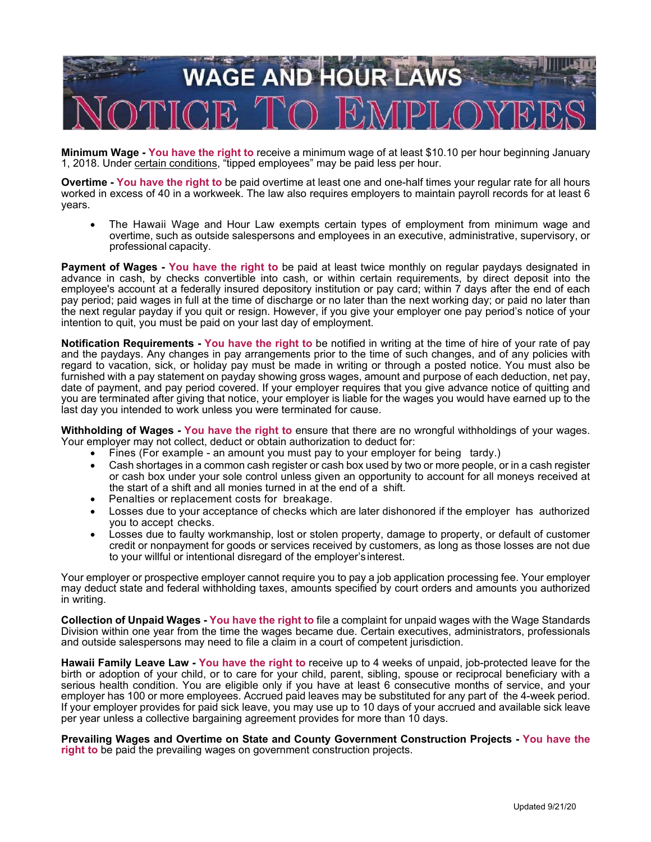

**Minimum Wage - You have the right to** receive a minimum wage of at least \$10.10 per hour beginning January 1, 2018. Under certain conditions, "tipped employees" may be paid less per hour.

**Overtime - You have the right to** be paid overtime at least one and one-half times your regular rate for all hours worked in excess of 40 in a workweek. The law also requires employers to maintain payroll records for at least 6 years.

 The Hawaii Wage and Hour Law exempts certain types of employment from minimum wage and overtime, such as outside salespersons and employees in an executive, administrative, supervisory, or professional capacity.

**Payment of Wages - You have the right to** be paid at least twice monthly on regular paydays designated in advance in cash, by checks convertible into cash, or within certain requirements, by direct deposit into the employee's account at a federally insured depository institution or pay card; within 7 days after the end of each pay period; paid wages in full at the time of discharge or no later than the next working day; or paid no later than the next regular payday if you quit or resign. However, if you give your employer one pay period's notice of your intention to quit, you must be paid on your last day of employment.

**Notification Requirements - You have the right to** be notified in writing at the time of hire of your rate of pay and the paydays. Any changes in pay arrangements prior to the time of such changes, and of any policies with regard to vacation, sick, or holiday pay must be made in writing or through a posted notice. You must also be furnished with a pay statement on payday showing gross wages, amount and purpose of each deduction, net pay, date of payment, and pay period covered. If your employer requires that you give advance notice of quitting and you are terminated after giving that notice, your employer is liable for the wages you would have earned up to the last day you intended to work unless you were terminated for cause.

**Withholding of Wages - You have the right to** ensure that there are no wrongful withholdings of your wages. Your employer may not collect, deduct or obtain authorization to deduct for:

- Fines (For example an amount you must pay to your employer for being tardy.)
- Cash shortages in a common cash register or cash box used by two or more people, or in a cash register or cash box under your sole control unless given an opportunity to account for all moneys received at the start of a shift and all monies turned in at the end of a shift.
- Penalties or replacement costs for breakage.
- Losses due to your acceptance of checks which are later dishonored if the employer has authorized you to accept checks.
- Losses due to faulty workmanship, lost or stolen property, damage to property, or default of customer credit or nonpayment for goods or services received by customers, as long as those losses are not due to your willful or intentional disregard of the employer's interest.

Your employer or prospective employer cannot require you to pay a job application processing fee. Your employer may deduct state and federal withholding taxes, amounts specified by court orders and amounts you authorized in writing.

**Collection of Unpaid Wages - You have the right to** file a complaint for unpaid wages with the Wage Standards Division within one year from the time the wages became due. Certain executives, administrators, professionals and outside salespersons may need to file a claim in a court of competent jurisdiction.

**Hawaii Family Leave Law - You have the right to** receive up to 4 weeks of unpaid, job-protected leave for the birth or adoption of your child, or to care for your child, parent, sibling, spouse or reciprocal beneficiary with a serious health condition. You are eligible only if you have at least 6 consecutive months of service, and your employer has 100 or more employees. Accrued paid leaves may be substituted for any part of the 4-week period. If your employer provides for paid sick leave, you may use up to 10 days of your accrued and available sick leave per year unless a collective bargaining agreement provides for more than 10 days.

**Prevailing Wages and Overtime on State and County Government Construction Projects - You have the right to** be paid the prevailing wages on government construction projects.